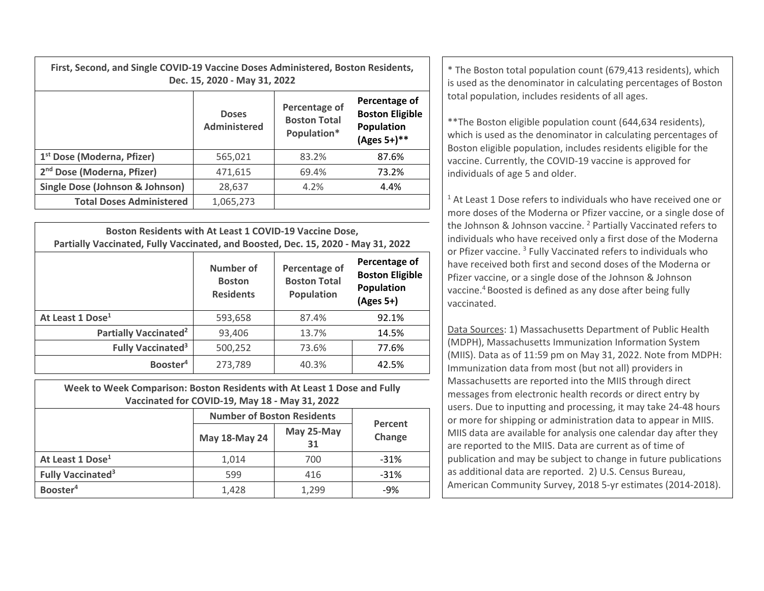| First, Second, and Single COVID-19 Vaccine Doses Administered, Boston Residents, | Dec. 15, 2020 - May 31, 2022 |                                                     |                                                                      |
|----------------------------------------------------------------------------------|------------------------------|-----------------------------------------------------|----------------------------------------------------------------------|
|                                                                                  | <b>Doses</b><br>Administered | Percentage of<br><b>Boston Total</b><br>Population* | Percentage of<br><b>Boston Eligible</b><br>Population<br>(Ages 5+)** |
| 1st Dose (Moderna Dfizer)                                                        | 565 021                      | 92.70/                                              | 97.6%                                                                |

| 1 <sup>st</sup> Dose (Moderna, Pfizer) | 565.021   | 83.2% | 87.6% |
|----------------------------------------|-----------|-------|-------|
| 2 <sup>nd</sup> Dose (Moderna, Pfizer) | 471.615   | 69.4% | 73.2% |
| Single Dose (Johnson & Johnson)        | 28,637    | 4.2%  | 4.4%  |
| <b>Total Doses Administered</b>        | 1,065,273 |       |       |
|                                        |           |       |       |

| Boston Residents with At Least 1 COVID-19 Vaccine Dose,<br>Partially Vaccinated, Fully Vaccinated, and Boosted, Dec. 15, 2020 - May 31, 2022 |                                                |                                                    |                                                                    |  |  |
|----------------------------------------------------------------------------------------------------------------------------------------------|------------------------------------------------|----------------------------------------------------|--------------------------------------------------------------------|--|--|
|                                                                                                                                              | Number of<br><b>Boston</b><br><b>Residents</b> | Percentage of<br><b>Boston Total</b><br>Population | Percentage of<br><b>Boston Eligible</b><br>Population<br>(Ages 5+) |  |  |
| At Least 1 Dose <sup>1</sup>                                                                                                                 | 593,658                                        | 87.4%                                              | 92.1%                                                              |  |  |
| <b>Partially Vaccinated<sup>2</sup></b>                                                                                                      | 93,406                                         | 13.7%                                              | 14.5%                                                              |  |  |
| Fully Vaccinated <sup>3</sup>                                                                                                                | 500,252                                        | 73.6%                                              | 77.6%                                                              |  |  |
| Booster <sup>4</sup>                                                                                                                         | 273,789                                        | 40.3%                                              | 42.5%                                                              |  |  |

**Week to Week Comparison: Boston Residents with At Least 1 Dose and Fully Vaccinated for COVID‐19, May 18 ‐ May 31, 2022**

|                                     | <b>Number of Boston Residents</b> | Percent          |        |  |
|-------------------------------------|-----------------------------------|------------------|--------|--|
|                                     | May 18-May 24                     | May 25-May<br>31 | Change |  |
| At Least 1 Dose <sup>1</sup>        | 1,014                             | 700              | $-31%$ |  |
| <b>Fully Vaccinated<sup>3</sup></b> | 599                               | 416              | $-31%$ |  |
| Booster <sup>4</sup>                | 1,428                             | 1,299            | $-9%$  |  |

**15, 2020 - May 31, 2022** *CONDER BOSTON RESIGENTS*  $\begin{bmatrix} * \\ * \end{bmatrix}$  is used as the denominator in calculating percentages of Boston Boston **15, 2020 - May 31, 2022** total population, includes residents of all ages.

> \*\*The Boston eligible population count (644,634 residents), which is used as the denominator in calculating percentages of Boston eligible population, includes residents eligible for the vaccine. Currently, the COVID‐19 vaccine is approved for individuals of age 5 and older.

 $1$  At Least 1 Dose refers to individuals who have received one or more doses of the Moderna or Pfizer vaccine, or <sup>a</sup> single dose of the Johnson & Johnson vaccine. <sup>2</sup> Partially Vaccinated refers to individuals who have received only <sup>a</sup> first dose of the Moderna or Pfizer vaccine. <sup>3</sup> Fully Vaccinated refers to individuals who have received both first and second doses of the Moderna or Pfizer vaccine, or <sup>a</sup> single dose of the Johnson & Johnson vaccine.<sup>4</sup> Boosted is defined as any dose after being fully vaccinated.

Data Sources: 1) Massachusetts Department of Public Health (MDPH), Massachusetts Immunization Information System (MIIS). Data as of 11:59 pm on May 31, 2022. Note from MDPH: Immunization data from most (but not all) providers in Massachusetts are reported into the MIIS through direct messages from electronic health records or direct entry by users. Due to inputting and processing, it may take 24‐48 hours or more for shipping or administration data to appear in MIIS. MIIS data are available for analysis one calendar day after they are reported to the MIIS. Data are current as of time of publication and may be subject to change in future publications as additional data are reported. 2) U.S. Census Bureau, American Community Survey, 2018 5‐yr estimates (2014‐2018).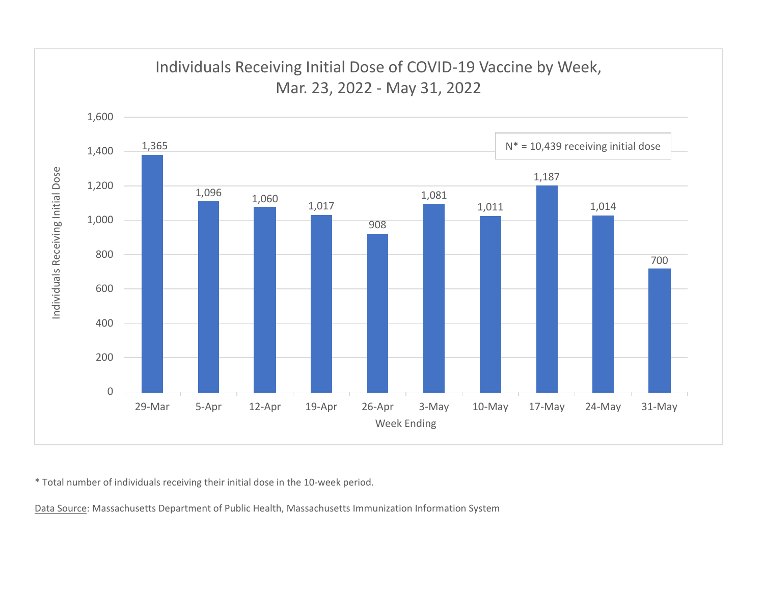

\* Total number of individuals receiving their initial dose in the 10‐week period.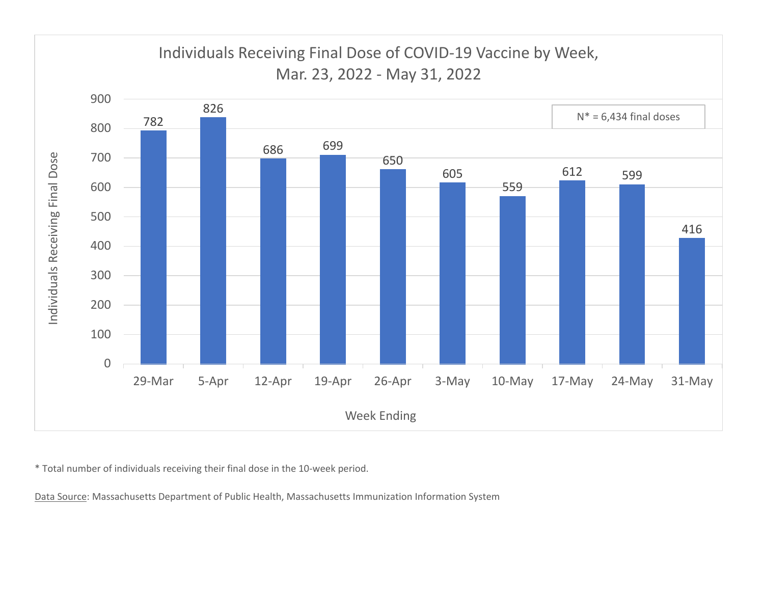

\* Total number of individuals receiving their final dose in the 10‐week period.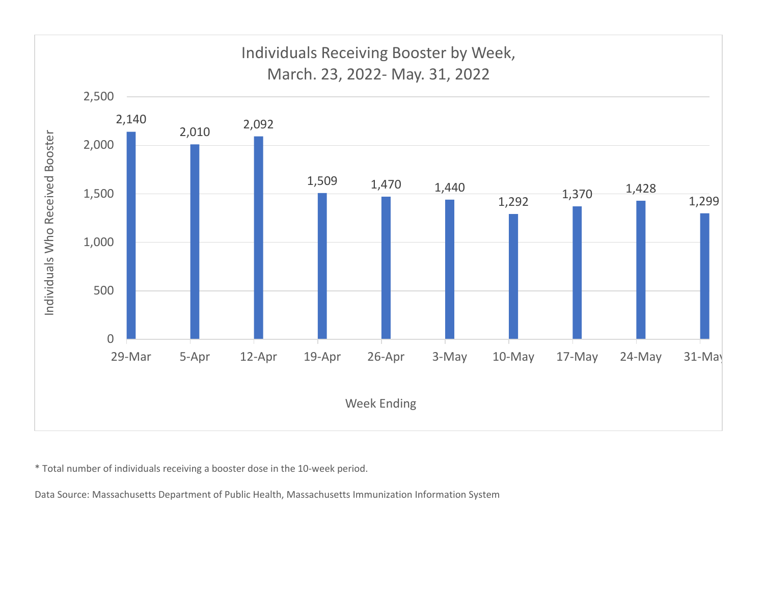

\* Total number of individuals receiving <sup>a</sup> booster dose in the 10‐week period.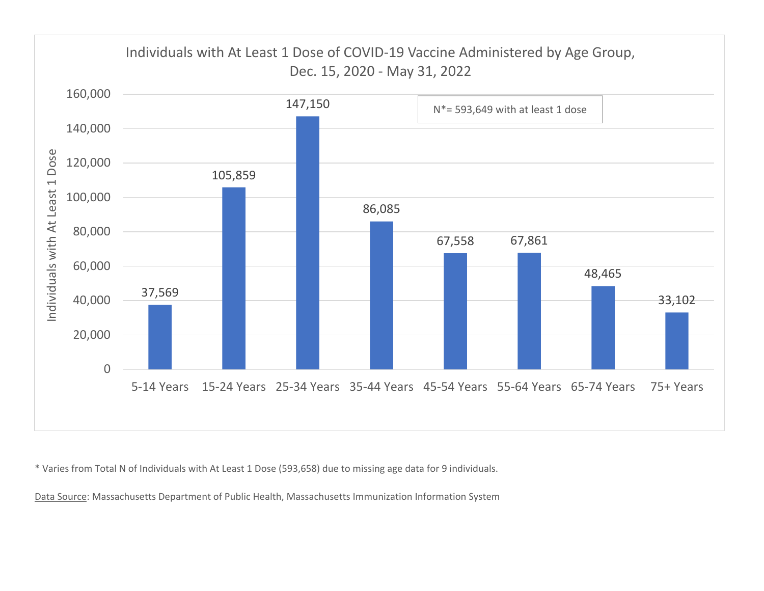

\* Varies from Total N of Individuals with At Least 1 Dose (593,658) due to missing age data for 9 individuals.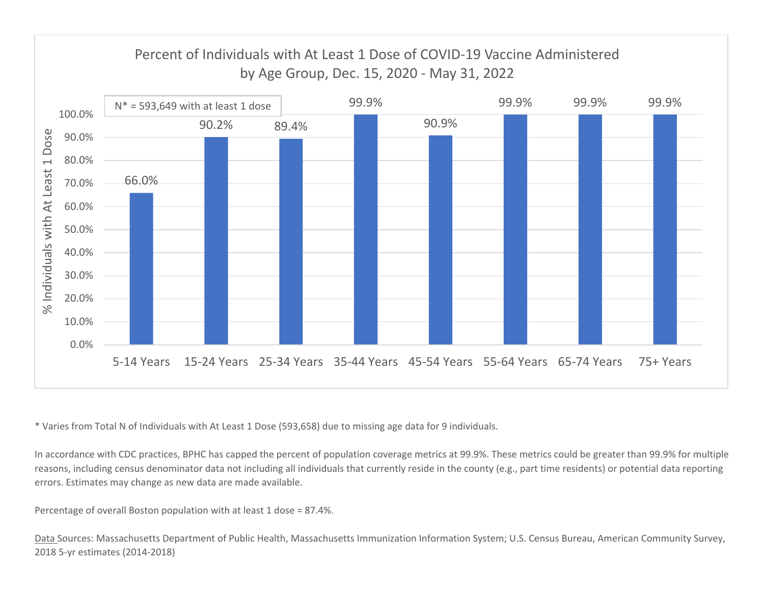

\* Varies from Total N of Individuals with At Least 1 Dose (593,658) due to missing age data for 9 individuals.

In accordance with CDC practices, BPHC has capped the percent of population coverage metrics at 99.9%. These metrics could be greater than 99.9% for multiple reasons, including census denominator data not including all individuals that currently reside in the county (e.g., part time residents) or potential data reporting errors. Estimates may change as new data are made available.

Percentage of overall Boston population with at least 1 dose <sup>=</sup> 87.4%.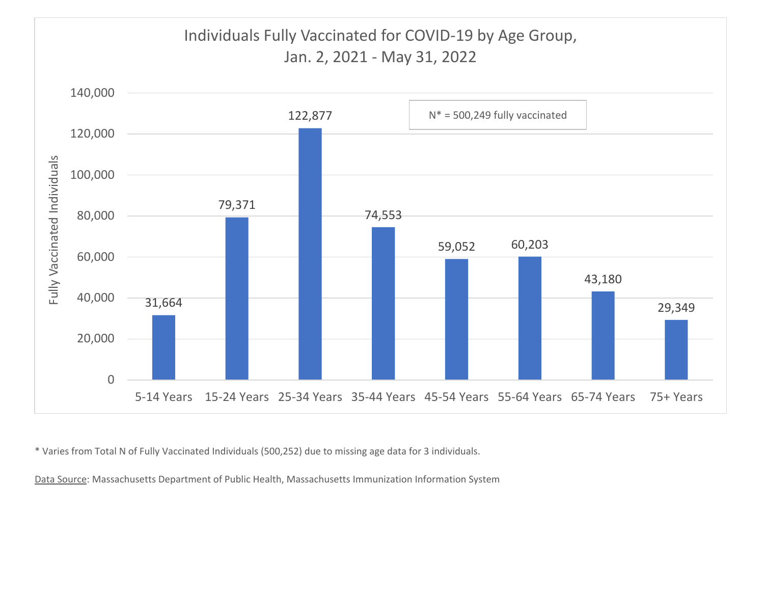

\* Varies from Total N of Fully Vaccinated Individuals (500,252) due to missing age data for 3 individuals.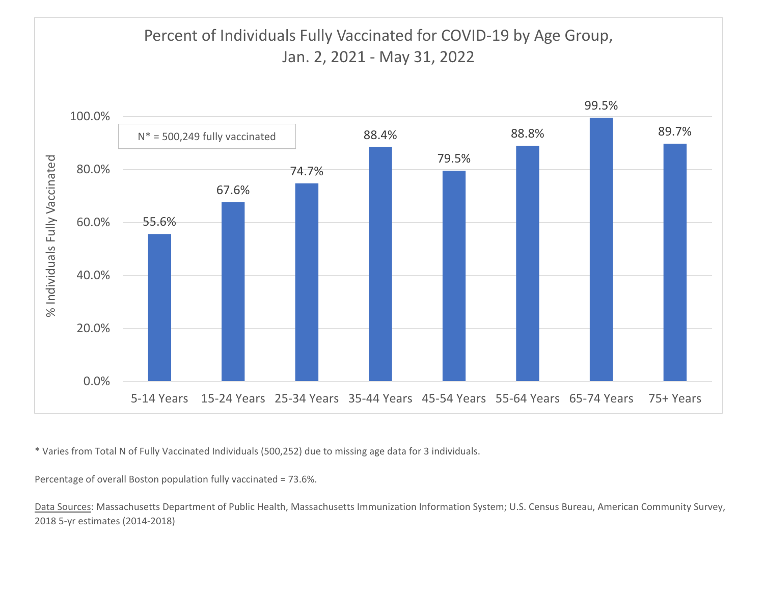

\* Varies from Total N of Fully Vaccinated Individuals (500,252) due to missing age data for 3 individuals.

Percentage of overall Boston population fully vaccinated <sup>=</sup> 73.6%.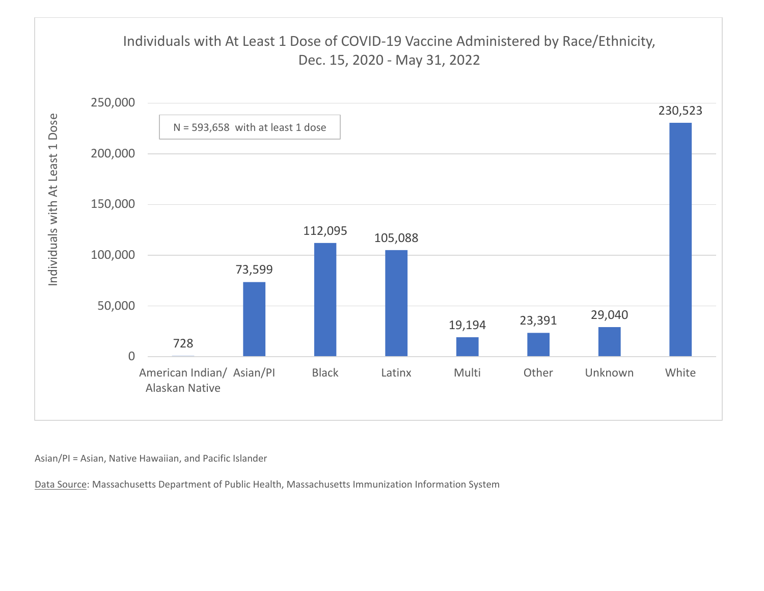

Asian/PI <sup>=</sup> Asian, Native Hawaiian, and Pacific Islander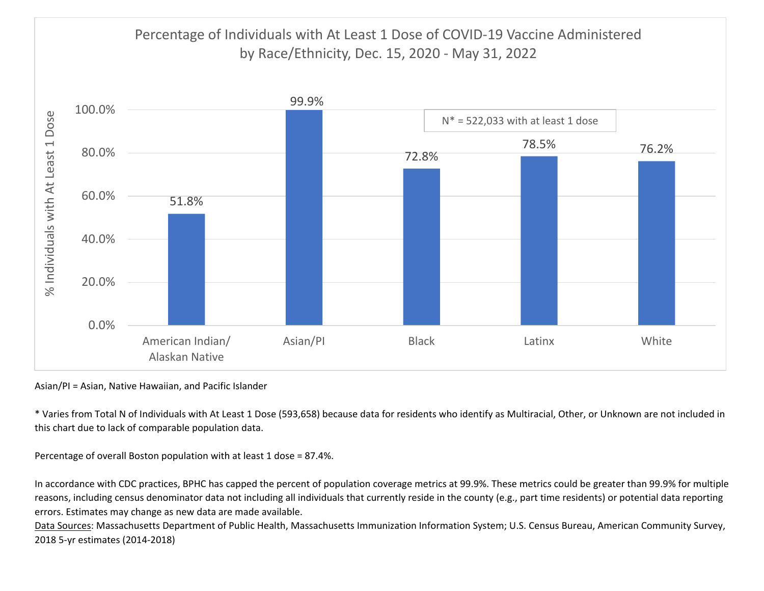

Asian/PI <sup>=</sup> Asian, Native Hawaiian, and Pacific Islander

\* Varies from Total N of Individuals with At Least 1 Dose (593,658) because data for residents who identify as Multiracial, Other, or Unknown are not included in this chart due to lack of comparable population data.

Percentage of overall Boston population with at least 1 dose <sup>=</sup> 87.4%.

In accordance with CDC practices, BPHC has capped the percent of population coverage metrics at 99.9%. These metrics could be greater than 99.9% for multiple reasons, including census denominator data not including all individuals that currently reside in the county (e.g., part time residents) or potential data reporting errors. Estimates may change as new data are made available.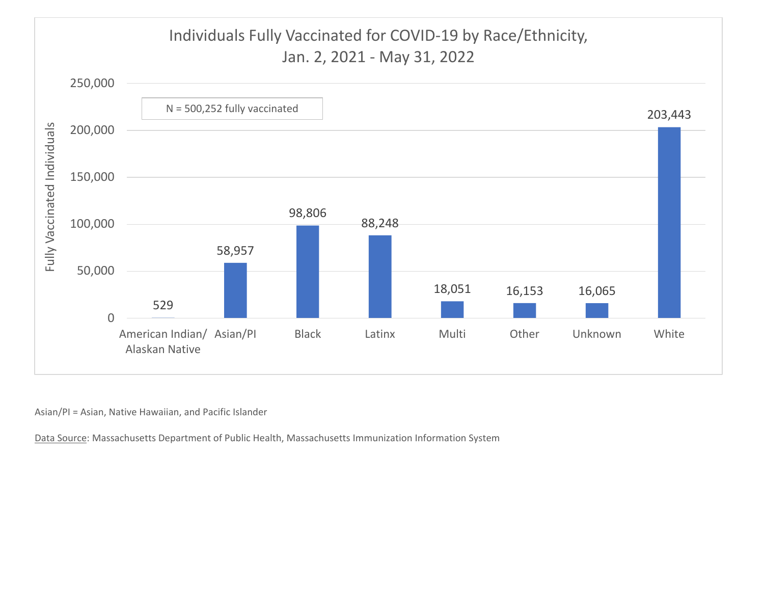

Asian/PI <sup>=</sup> Asian, Native Hawaiian, and Pacific Islander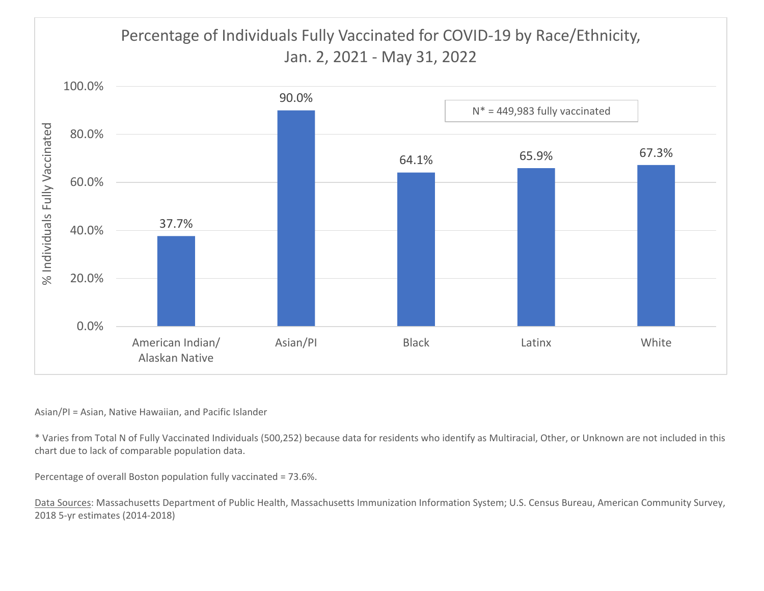# Percentage of Individuals Fully Vaccinated for COVID‐19 by Race/Ethnicity, Jan. 2, 2021 ‐ May 31, 2022



### Asian/PI <sup>=</sup> Asian, Native Hawaiian, and Pacific Islander

\* Varies from Total N of Fully Vaccinated Individuals (500,252) because data for residents who identify as Multiracial, Other, or Unknown are not included in this chart due to lack of comparable population data.

Percentage of overall Boston population fully vaccinated <sup>=</sup> 73.6%.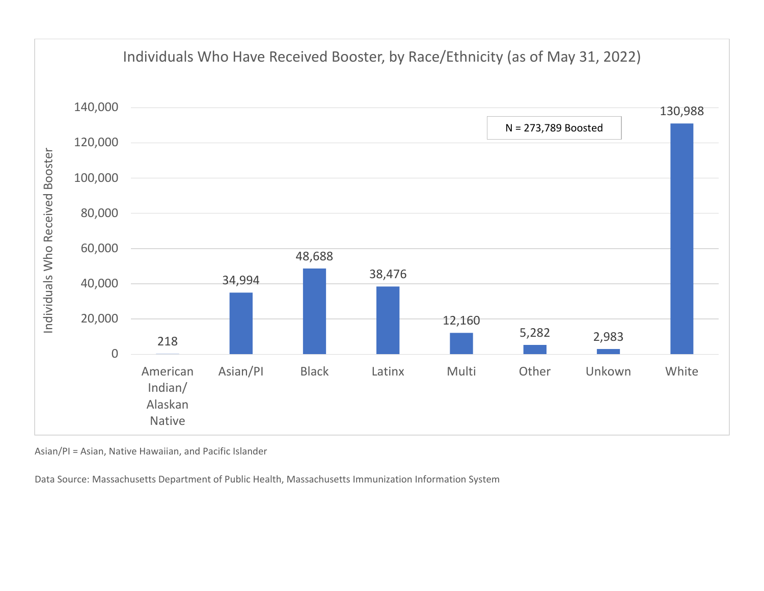

Asian/PI <sup>=</sup> Asian, Native Hawaiian, and Pacific Islander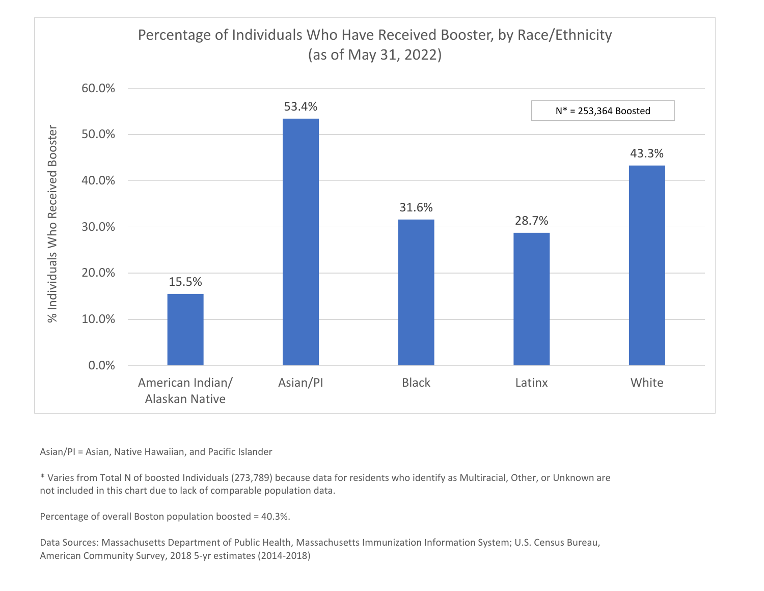## Percentage of Individuals Who Have Received Booster, by Race/Ethnicity (as of May 31, 2022)



Asian/PI <sup>=</sup> Asian, Native Hawaiian, and Pacific Islander

\* Varies from Total N of boosted Individuals (273,789) because data for residents who identify as Multiracial, Other, or Unknown are not included in this chart due to lack of comparable population data.

Percentage of overall Boston population boosted <sup>=</sup> 40.3%.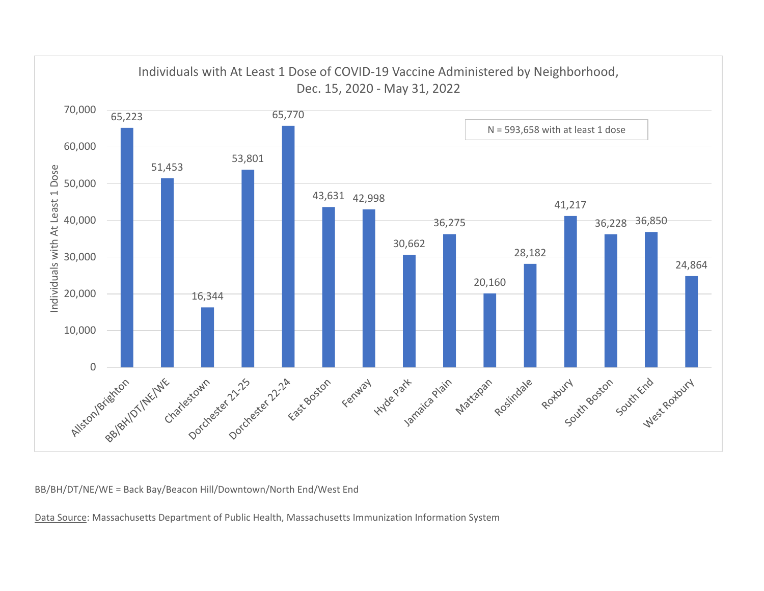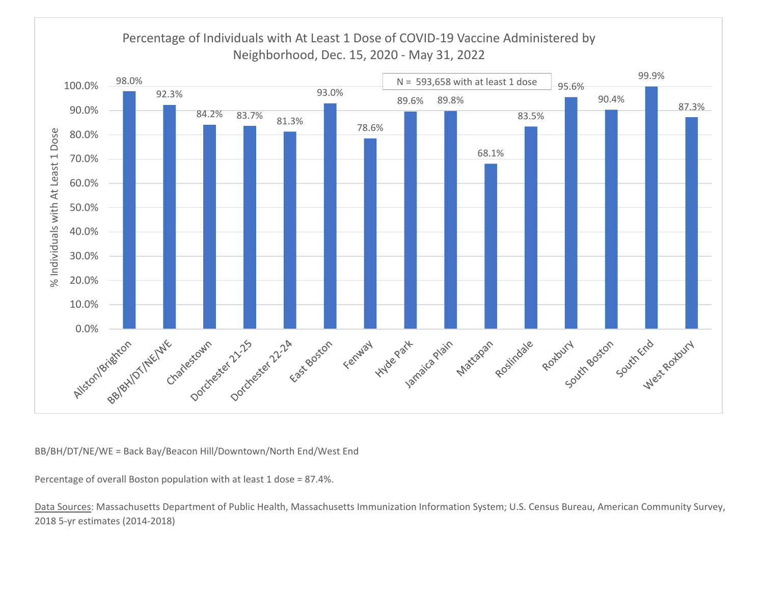

Percentage of overall Boston population with at least 1 dose <sup>=</sup> 87.4%.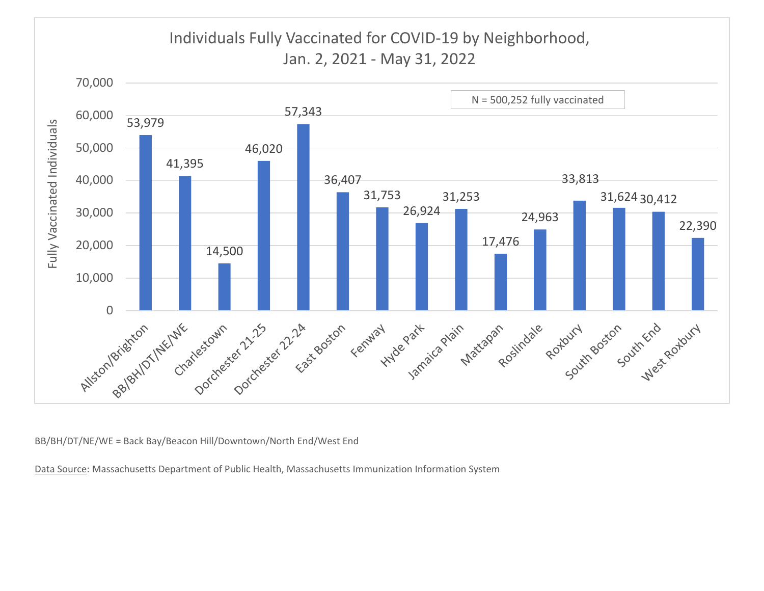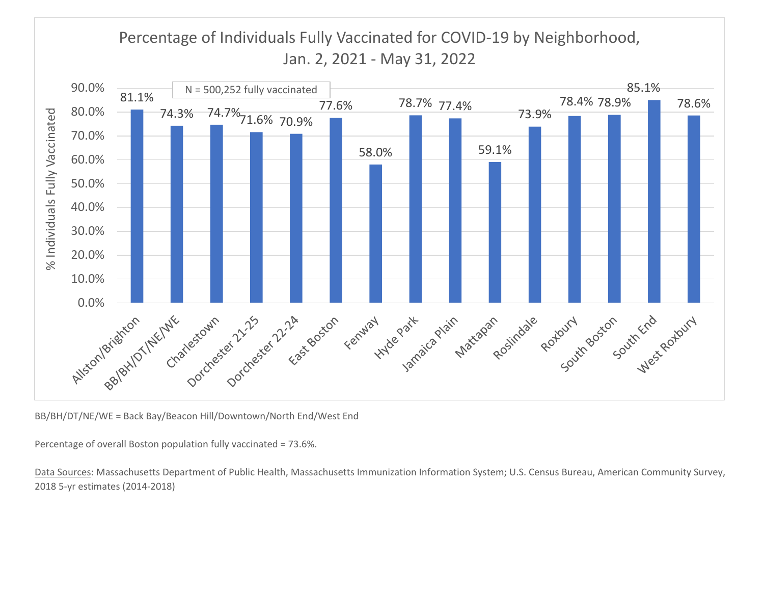## Percentage of Individuals Fully Vaccinated for COVID‐19 by Neighborhood, Jan. 2, 2021 ‐ May 31, 2022



BB/BH/DT/NE/WE <sup>=</sup> Back Bay/Beacon Hill/Downtown/North End/West End

Percentage of overall Boston population fully vaccinated <sup>=</sup> 73.6%.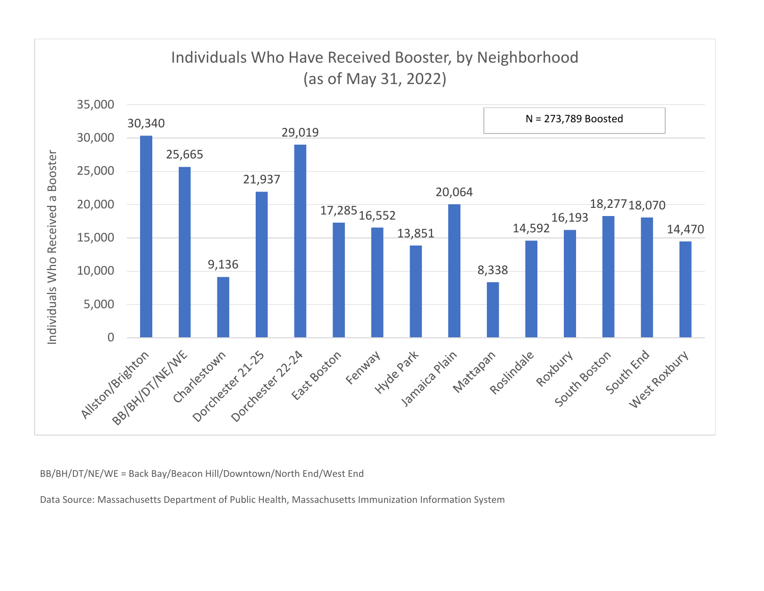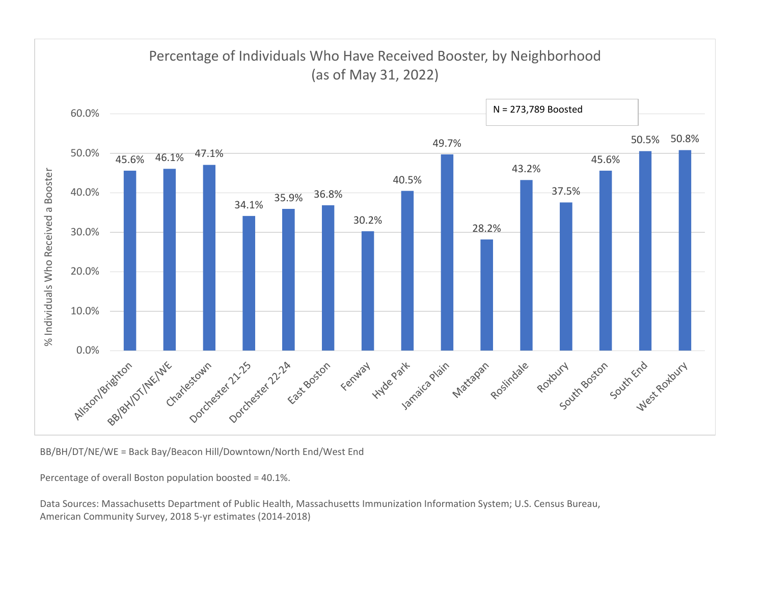

BB/BH/DT/NE/WE <sup>=</sup> Back Bay/Beacon Hill/Downtown/North End/West End

Percentage of overall Boston population boosted <sup>=</sup> 40.1%.